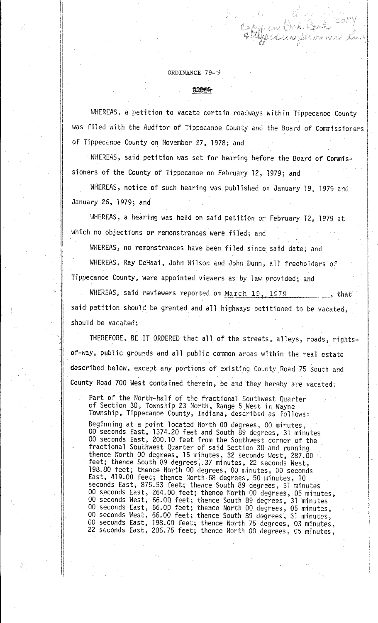## ORDINANCE 79- 9

II ii ii ,, 11

 $\parallel$ 

I

ll. I!  $\mathbf{I}$ 

·I

## 0202000

WHEREAS, a petition to vacate certain roadways within Tippecanoe County was filed with the Auditor of Tippecanoe County and the Board of Commissioners of Tippecanoe County on November 27, 1978; and

I

 $\begin{picture}(20,20) \put(0,0){\line(1,0){10}} \put(10,0){\line(1,0){10}} \put(10,0){\line(1,0){10}} \put(10,0){\line(1,0){10}} \put(10,0){\line(1,0){10}} \put(10,0){\line(1,0){10}} \put(10,0){\line(1,0){10}} \put(10,0){\line(1,0){10}} \put(10,0){\line(1,0){10}} \put(10,0){\line(1,0){10}} \put(10,0){\line(1,0){10}} \put(10,0){\line(1$ I  $\left\lbrack \right\rbrack$ 

I

 $\parallel$ 

 $\begin{bmatrix} 1 & 1 \\ 1 & 1 \\ 1 & 1 \\ 1 & 1 \\ 1 & 1 \\ 1 & 1 \\ 1 & 1 \\ 1 & 1 \\ 1 & 1 \\ 1 & 1 \\ 1 & 1 \\ 1 & 1 \\ 1 & 1 \\ 1 & 1 \\ 1 & 1 \\ 1 & 1 \\ 1 & 1 \\ 1 & 1 \\ 1 & 1 \\ 1 & 1 \\ 1 & 1 \\ 1 & 1 \\ 1 & 1 \\ 1 & 1 \\ 1 & 1 \\ 1 & 1 \\ 1 & 1 \\ 1 & 1 \\ 1 & 1 \\ 1 & 1 \\ 1 & 1 \\ 1 & 1 \\ 1 & 1 \\ 1 & 1 \\ 1 & 1 \\ 1 &$ 

 $\blacksquare$  $\vert$  .

I

*('* 

WHEREAS, said petition was set for hearing before the Board of Commis~ sioners of the County of Tippecanoe on February 12, 1979; and

WHEREAS, notice of such hearing was published on January 19, 1979 and January 26, 1979; and

WHEREAS, a hearing was held on said petition on February 12, 1979 at which no objections or remonstrances were filed; and

WHEREAS, no remonstrances have been filed since said date; and

WHEREAS, Ray DeHaai, John Wilson and John Dunn, a11 freeholders of Tippecanoe County, were appointed viewers as by law provided; and

WHEREAS, said reviewers reported on  $March$  19, 1979 , that said petition should be granted and all highways petitioned to be vacated, should be vacated;

THEREFORE, BE IT ORDERED that all of the streets, alleys, roads, rightsof-way, public grounds and all public common areas within the real estate described below, except any portions of existing County Road ;75 South and County Road 700 West contained therein, be and they hereby are vacated:

Part of the North-half of the fractional Southwest Quarter of Section 30, Township 23 North, Range 5 West in Wayne Township, Tippecanoe County, Indiana, described as fo1lows:

Beginning at a point 1ocated North 00 degrees, 00 minutes, 00 seconds East, 1374.20 feet and South 89 degrees, 31 minutes 00 seconds East, 200. 10 feet from the Southwest corner of the fractional Southwest Quarter of said Section 30 and running thence North 00 degrees, 15 minutes, 32 seconds West, 287.00 feet; thence South 89 degrees, 37 minutes, 22 seconds West, 198.80 feet; thence North 00 degrees, 00 minutes, 00 seconds East, 419.00 feet; thence North.68 degrees, 50 minutes, 10 seconds East, 875. 53 feet; thence South 89 degrees, 31 minutes 00 seconds East, 264.00 feet; thence North 00 degrees, 05 minutes, 00 seconds West, 66.0Q feet; thence South 89 degrees, 31 minutes 00 seconds East, 66.00 feet; thence North 00 degrees, 05 minutes, 00 seconds West, 66.00 feet; thence South 89 degrees, 31 minutes, 00 seconds East, 198. 00 feet; thence North 75 degrees, 03 minutes, 22 seconds East, 206.75 feet; thence North 00 degrees, 05 minutes,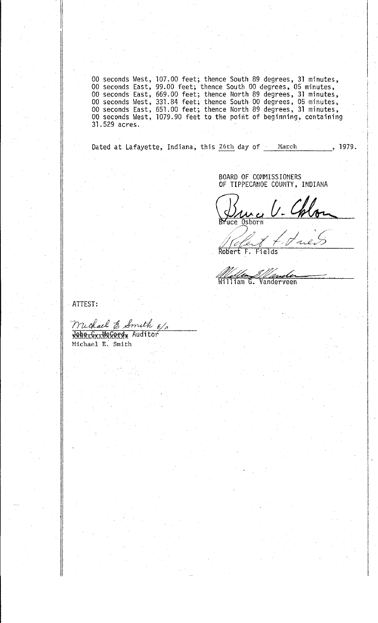00 seconds West, 107.00 feet; thence South 89 degrees, 31 minutes, 00 seconds East, 99.00 feet; thence South 00 degrees, 05 minutes, 00 seconds East, 669.00 feet; thence North 89 degrees, 31 minutes, 00 seconds West, 331.8 31.529 acres.

Dated at Lafayette, Indiana, this 26th day of March 1979.

> BOARD OF COMMISSIONERS OF TIPPECANOE COUNTY, INDIANA

Druce V. Chlon

 $\overline{F}$ . Robert Fields

11 iam G. Vanderveen

ATTEST:

Muchael & Smith E/

Michael E. Smith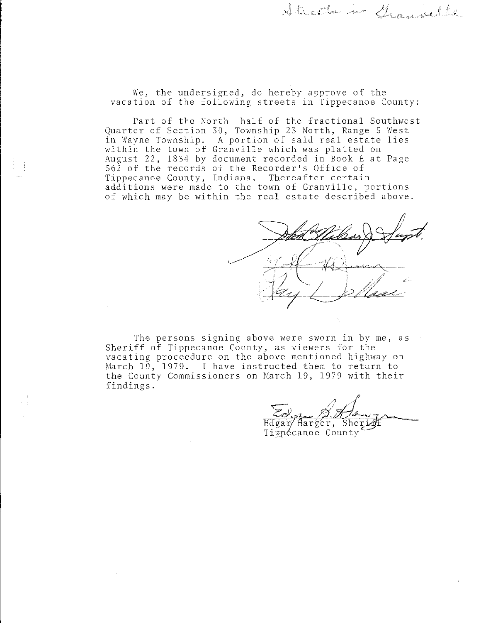We, the undersigned, do hereby approve of the vacation of the following streets in Tippecanoe County:

Part of the North -half of the fractional Southwest Quarter of Section 30, Township 23 North, Range 5 West in Wayne Township. A portion of said real estate lies within the town of Granville which was platted on August 22, 1834 by document recorded in Book E at Page 562 of the records of the Recorder's Office of Tippecanoe County, Indiana. Thereafter certain additions were made to the town of Granville, portions of which may be within the real estate described above.

 $7.44$ on of said real estate lies<br>be which was platted on<br>recorded in Book E at Page<br>ecorder's Office of<br>Thereafter certain<br>town of Granville, portions<br>real estate described above.  $\mathbb{Z}$  $\mathcal{F}$ 

\_,..."1\_,,,...,~- -.v<, ···/'"'A ... ,,\·

The persons signing above were sworn in by me, as Sheriff of Tippecanoe County, as viewers for the vacating proceedure on the above mentioned highway on March 19, 1979. I have instructed them to return to the County Commissioners on March 19, 1979 with their findings.

 $\epsilon_0$   $\mathcal{A}$ .

 $\text{Edgar/Harger, Sherif}$ Tippécanoe County